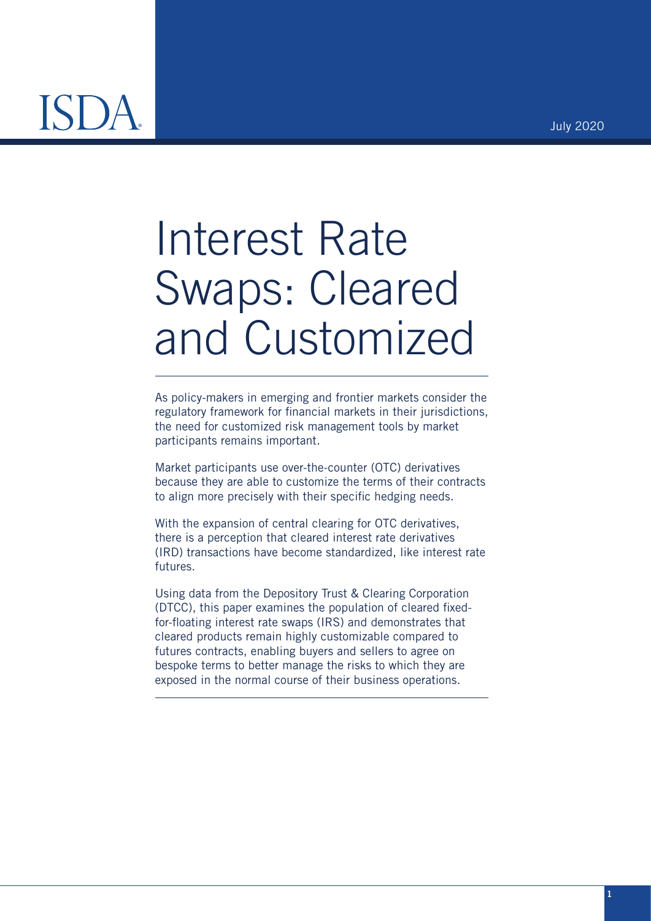July 2020

# Interest Rate Swaps: Cleared and Customized

As policy-makers in emerging and frontier markets consider the regulatory framework for financial markets in their jurisdictions, the need for customized risk management tools by market participants remains important.

Market participants use over-the-counter (OTC) derivatives because they are able to customize the terms of their contracts to align more precisely with their specific hedging needs.

With the expansion of central clearing for OTC derivatives, there is a perception that cleared interest rate derivatives (IRD) transactions have become standardized, like interest rate futures.

Using data from the Depository Trust & Clearing Corporation (DTCC), this paper examines the population of cleared fixedfor-floating interest rate swaps (IRS) and demonstrates that cleared products remain highly customizable compared to futures contracts, enabling buyers and sellers to agree on bespoke terms to better manage the risks to which they are exposed in the normal course of their business operations.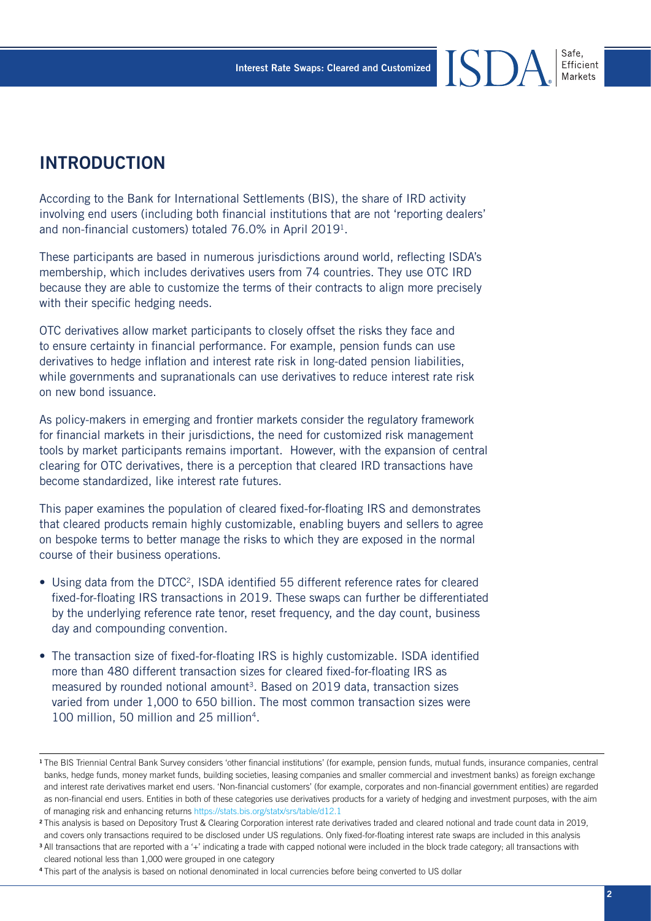## **INTRODUCTION**

According to the Bank for International Settlements (BIS), the share of IRD activity involving end users (including both financial institutions that are not 'reporting dealers' and non-financial customers) totaled 76.0% in April 20191.

These participants are based in numerous jurisdictions around world, reflecting ISDA's membership, which includes derivatives users from 74 countries. They use OTC IRD because they are able to customize the terms of their contracts to align more precisely with their specific hedging needs.

OTC derivatives allow market participants to closely offset the risks they face and to ensure certainty in financial performance. For example, pension funds can use derivatives to hedge inflation and interest rate risk in long-dated pension liabilities, while governments and supranationals can use derivatives to reduce interest rate risk on new bond issuance.

As policy-makers in emerging and frontier markets consider the regulatory framework for financial markets in their jurisdictions, the need for customized risk management tools by market participants remains important. However, with the expansion of central clearing for OTC derivatives, there is a perception that cleared IRD transactions have become standardized, like interest rate futures.

This paper examines the population of cleared fixed-for-floating IRS and demonstrates that cleared products remain highly customizable, enabling buyers and sellers to agree on bespoke terms to better manage the risks to which they are exposed in the normal course of their business operations.

- Using data from the DTCC<sup>2</sup>, ISDA identified 55 different reference rates for cleared fixed-for-floating IRS transactions in 2019. These swaps can further be differentiated by the underlying reference rate tenor, reset frequency, and the day count, business day and compounding convention.
- The transaction size of fixed-for-floating IRS is highly customizable. ISDA identified more than 480 different transaction sizes for cleared fixed-for-floating IRS as measured by rounded notional amount<sup>3</sup>. Based on 2019 data, transaction sizes varied from under 1,000 to 650 billion. The most common transaction sizes were 100 million, 50 million and 25 million<sup>4</sup>.

Safe. Efficient

<sup>1</sup>The BIS Triennial Central Bank Survey considers 'other financial institutions' (for example, pension funds, mutual funds, insurance companies, central banks, hedge funds, money market funds, building societies, leasing companies and smaller commercial and investment banks) as foreign exchange and interest rate derivatives market end users. 'Non-financial customers' (for example, corporates and non-financial government entities) are regarded as non-financial end users. Entities in both of these categories use derivatives products for a variety of hedging and investment purposes, with the aim of managing risk and enhancing returns <https://stats.bis.org/statx/srs/table/d12.1>

<sup>&</sup>lt;sup>2</sup>This analysis is based on Depository Trust & Clearing Corporation interest rate derivatives traded and cleared notional and trade count data in 2019, and covers only transactions required to be disclosed under US regulations. Only fixed-for-floating interest rate swaps are included in this analysis

<sup>3</sup>All transactions that are reported with a '+' indicating a trade with capped notional were included in the block trade category; all transactions with cleared notional less than 1,000 were grouped in one category

<sup>4</sup> This part of the analysis is based on notional denominated in local currencies before being converted to US dollar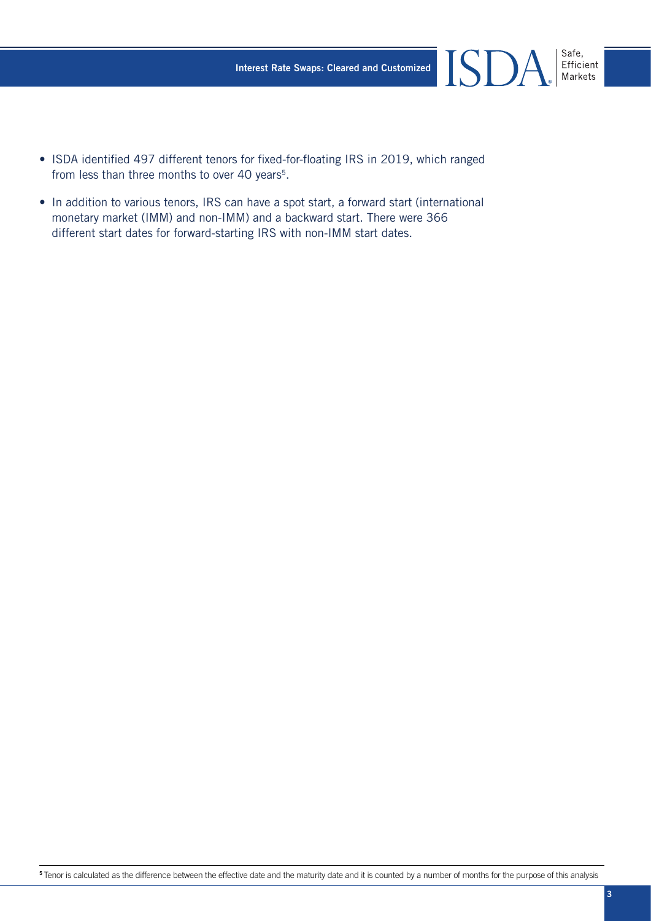- Safe,<br>Efficient<br>Markets **ISDA**
- ISDA identified 497 different tenors for fixed-for-floating IRS in 2019, which ranged from less than three months to over 40 years<sup>5</sup>.
- In addition to various tenors, IRS can have a spot start, a forward start (international monetary market (IMM) and non-IMM) and a backward start. There were 366 different start dates for forward-starting IRS with non-IMM start dates.

5 Tenor is calculated as the difference between the effective date and the maturity date and it is counted by a number of months for the purpose of this analysis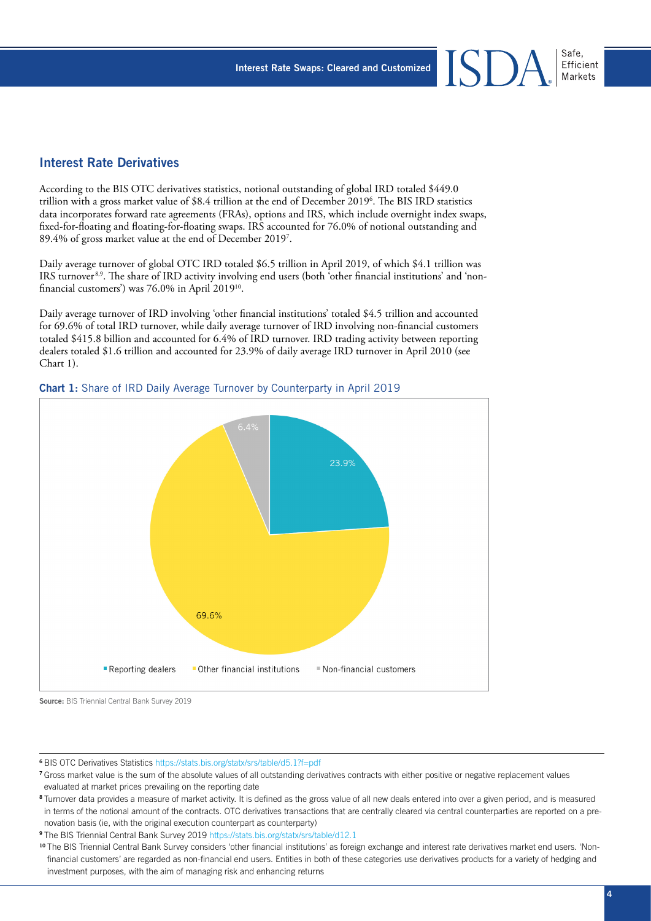#### Interest Rate Derivatives

According to the BIS OTC derivatives statistics, notional outstanding of global IRD totaled \$449.0 trillion with a gross market value of \$8.4 trillion at the end of December 20196 . The BIS IRD statistics data incorporates forward rate agreements (FRAs), options and IRS, which include overnight index swaps, fixed-for-floating and floating-for-floating swaps. IRS accounted for 76.0% of notional outstanding and 89.4% of gross market value at the end of December 20197 .

Daily average turnover of global OTC IRD totaled \$6.5 trillion in April 2019, of which \$4.1 trillion was IRS turnover 8,9. The share of IRD activity involving end users (both 'other financial institutions' and 'nonfinancial customers') was 76.0% in April 201910.

Daily average turnover of IRD involving 'other financial institutions' totaled \$4.5 trillion and accounted for 69.6% of total IRD turnover, while daily average turnover of IRD involving non-financial customers totaled \$415.8 billion and accounted for 6.4% of IRD turnover. IRD trading activity between reporting dealers totaled \$1.6 trillion and accounted for 23.9% of daily average IRD turnover in April 2010 (see Chart 1).



#### Chart 1: Share of IRD Daily Average Turnover by Counterparty in April 2019

**Source:** BIS Triennial Central Bank Survey 2019

<sup>6</sup>BIS OTC Derivatives Statistics<https://stats.bis.org/statx/srs/table/d5.1?f=pdf>

<sup>9</sup>The BIS Triennial Central Bank Survey 2019 <https://stats.bis.org/statx/srs/table/d12.1>

<sup>7</sup>Gross market value is the sum of the absolute values of all outstanding derivatives contracts with either positive or negative replacement values evaluated at market prices prevailing on the reporting date

<sup>&</sup>lt;sup>8</sup> Turnover data provides a measure of market activity. It is defined as the gross value of all new deals entered into over a given period, and is measured in terms of the notional amount of the contracts. OTC derivatives transactions that are centrally cleared via central counterparties are reported on a prenovation basis (ie, with the original execution counterpart as counterparty)

<sup>&</sup>lt;sup>10</sup> The BIS Triennial Central Bank Survey considers 'other financial institutions' as foreign exchange and interest rate derivatives market end users. 'Nonfinancial customers' are regarded as non-financial end users. Entities in both of these categories use derivatives products for a variety of hedging and investment purposes, with the aim of managing risk and enhancing returns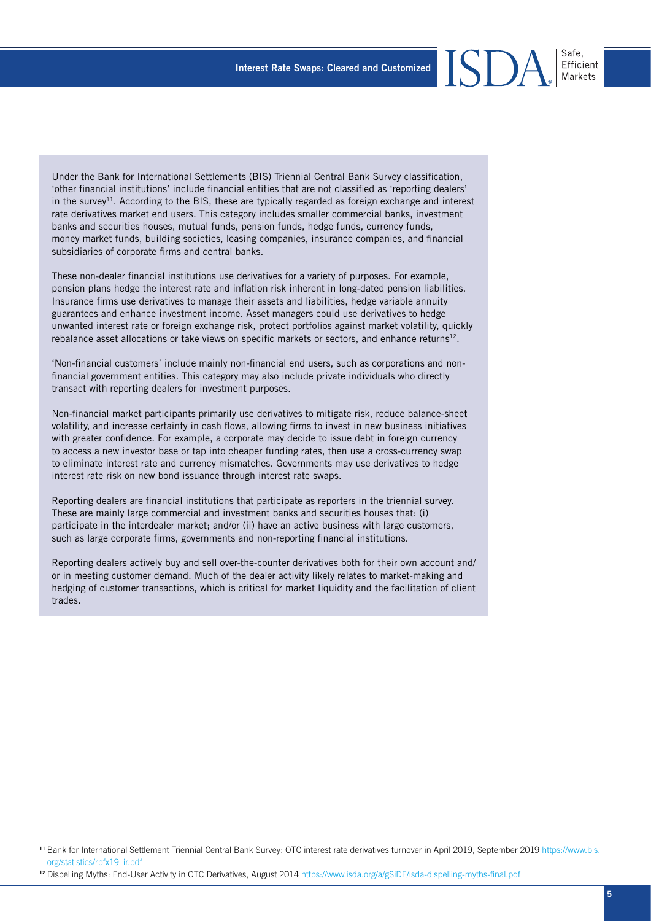Under the Bank for International Settlements (BIS) Triennial Central Bank Survey classification, 'other financial institutions' include financial entities that are not classified as 'reporting dealers' in the survey<sup>11</sup>. According to the BIS, these are typically regarded as foreign exchange and interest rate derivatives market end users. This category includes smaller commercial banks, investment banks and securities houses, mutual funds, pension funds, hedge funds, currency funds, money market funds, building societies, leasing companies, insurance companies, and financial subsidiaries of corporate firms and central banks.

These non-dealer financial institutions use derivatives for a variety of purposes. For example, pension plans hedge the interest rate and inflation risk inherent in long-dated pension liabilities. Insurance firms use derivatives to manage their assets and liabilities, hedge variable annuity guarantees and enhance investment income. Asset managers could use derivatives to hedge unwanted interest rate or foreign exchange risk, protect portfolios against market volatility, quickly rebalance asset allocations or take views on specific markets or sectors, and enhance returns<sup>12</sup>.

'Non-financial customers' include mainly non-financial end users, such as corporations and nonfinancial government entities. This category may also include private individuals who directly transact with reporting dealers for investment purposes.

Non-financial market participants primarily use derivatives to mitigate risk, reduce balance-sheet volatility, and increase certainty in cash flows, allowing firms to invest in new business initiatives with greater confidence. For example, a corporate may decide to issue debt in foreign currency to access a new investor base or tap into cheaper funding rates, then use a cross-currency swap to eliminate interest rate and currency mismatches. Governments may use derivatives to hedge interest rate risk on new bond issuance through interest rate swaps.

Reporting dealers are financial institutions that participate as reporters in the triennial survey. These are mainly large commercial and investment banks and securities houses that: (i) participate in the interdealer market; and/or (ii) have an active business with large customers, such as large corporate firms, governments and non-reporting financial institutions.

Reporting dealers actively buy and sell over-the-counter derivatives both for their own account and/ or in meeting customer demand. Much of the dealer activity likely relates to market-making and hedging of customer transactions, which is critical for market liquidity and the facilitation of client trades.

Efficient

<sup>11</sup> Bank for International Settlement Triennial Central Bank Survey: OTC interest rate derivatives turnover in April 2019, September 2019 [https://www.bis.](https://www.bis.org/statistics/rpfx19_ir.pdf) [org/statistics/rpfx19\\_ir.pdf](https://www.bis.org/statistics/rpfx19_ir.pdf)

<sup>12</sup> Dispelling Myths: End-User Activity in OTC Derivatives, August 2014 <https://www.isda.org/a/gSiDE/isda-dispelling-myths-final.pdf>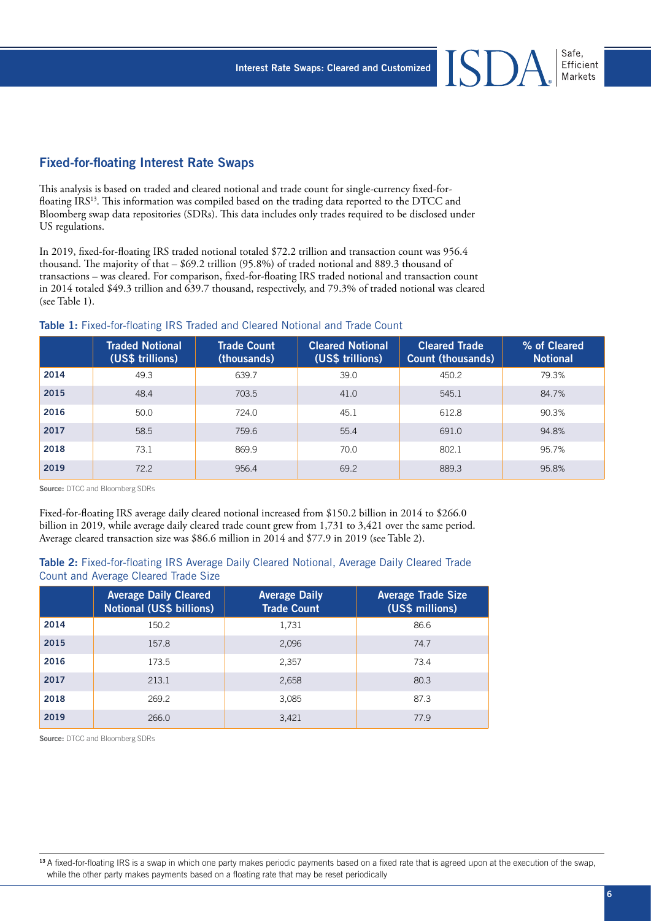#### Fixed-for-floating Interest Rate Swaps

This analysis is based on traded and cleared notional and trade count for single-currency fixed-forfloating IRS<sup>13</sup>. This information was compiled based on the trading data reported to the DTCC and Bloomberg swap data repositories (SDRs). This data includes only trades required to be disclosed under US regulations.

In 2019, fixed-for-floating IRS traded notional totaled \$72.2 trillion and transaction count was 956.4 thousand. The majority of that – \$69.2 trillion (95.8%) of traded notional and 889.3 thousand of transactions – was cleared. For comparison, fixed-for-floating IRS traded notional and transaction count in 2014 totaled \$49.3 trillion and 639.7 thousand, respectively, and 79.3% of traded notional was cleared (see Table 1).

#### Table 1: Fixed-for-floating IRS Traded and Cleared Notional and Trade Count

|      | <b>Traded Notional</b><br>(US\$ trillions) | <b>Trade Count</b><br>(thousands) | <b>Cleared Notional</b><br>(US\$ trillions) | <b>Cleared Trade</b><br><b>Count (thousands)</b> | % of Cleared<br><b>Notional</b> |
|------|--------------------------------------------|-----------------------------------|---------------------------------------------|--------------------------------------------------|---------------------------------|
| 2014 | 49.3                                       | 639.7                             | 39.0                                        | 450.2                                            | 79.3%                           |
| 2015 | 48.4                                       | 703.5                             | 41.0                                        | 545.1                                            | 84.7%                           |
| 2016 | 50.0                                       | 724.0                             | 45.1                                        | 612.8                                            | 90.3%                           |
| 2017 | 58.5                                       | 759.6                             | 55.4                                        | 691.0                                            | 94.8%                           |
| 2018 | 73.1                                       | 869.9                             | 70.0                                        | 802.1                                            | 95.7%                           |
| 2019 | 72.2                                       | 956.4                             | 69.2                                        | 889.3                                            | 95.8%                           |

**Source:** DTCC and Bloomberg SDRs

Fixed-for-floating IRS average daily cleared notional increased from \$150.2 billion in 2014 to \$266.0 billion in 2019, while average daily cleared trade count grew from 1,731 to 3,421 over the same period. Average cleared transaction size was \$86.6 million in 2014 and \$77.9 in 2019 (see Table 2).

#### Table 2: Fixed-for-floating IRS Average Daily Cleared Notional, Average Daily Cleared Trade Count and Average Cleared Trade Size

|      | <b>Average Daily Cleared</b><br><b>Notional (US\$ billions)</b> | <b>Average Daily</b><br><b>Trade Count</b> | <b>Average Trade Size</b><br>(US\$ millions) |
|------|-----------------------------------------------------------------|--------------------------------------------|----------------------------------------------|
| 2014 | 150.2                                                           | 1,731                                      | 86.6                                         |
| 2015 | 157.8                                                           | 2,096                                      | 74.7                                         |
| 2016 | 173.5                                                           | 2,357                                      | 73.4                                         |
| 2017 | 213.1                                                           | 2,658                                      | 80.3                                         |
| 2018 | 269.2                                                           | 3,085                                      | 87.3                                         |
| 2019 | 266.0                                                           | 3,421                                      | 77.9                                         |

**Source:** DTCC and Bloomberg SDRs

<sup>13</sup> A fixed-for-floating IRS is a swap in which one party makes periodic payments based on a fixed rate that is agreed upon at the execution of the swap, while the other party makes payments based on a floating rate that may be reset periodically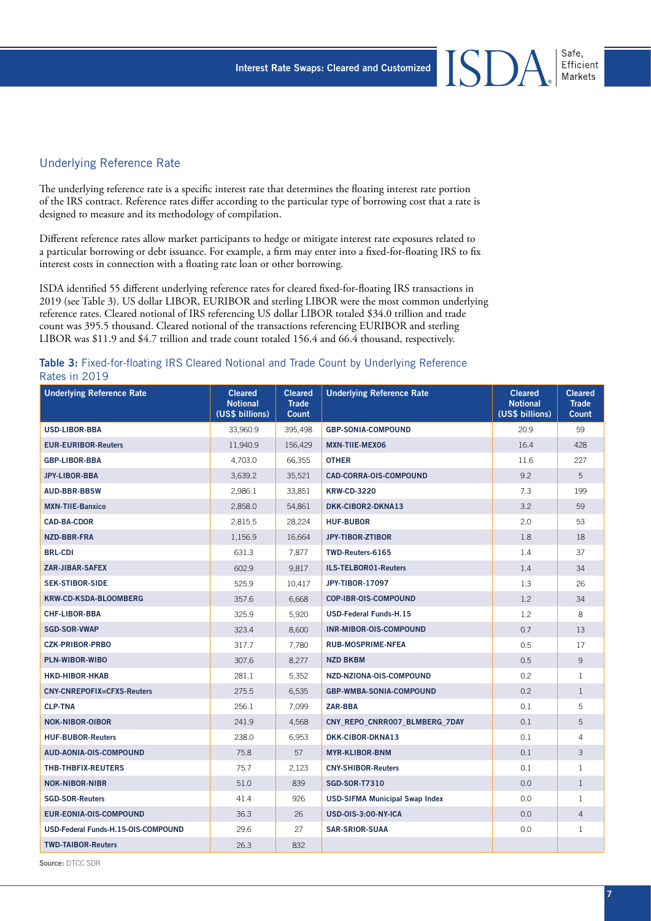#### Underlying Reference Rate

The underlying reference rate is a specific interest rate that determines the floating interest rate portion of the IRS contract. Reference rates differ according to the particular type of borrowing cost that a rate is designed to measure and its methodology of compilation.

Different reference rates allow market participants to hedge or mitigate interest rate exposures related to a particular borrowing or debt issuance. For example, a firm may enter into a fixed-for-floating IRS to fix interest costs in connection with a floating rate loan or other borrowing.

ISDA identified 55 different underlying reference rates for cleared fixed-for-floating IRS transactions in 2019 (see Table 3). US dollar LIBOR, EURIBOR and sterling LIBOR were the most common underlying reference rates. Cleared notional of IRS referencing US dollar LIBOR totaled \$34.0 trillion and trade count was 395.5 thousand. Cleared notional of the transactions referencing EURIBOR and sterling LIBOR was \$11.9 and \$4.7 trillion and trade count totaled 156.4 and 66.4 thousand, respectively.

| Table 3: Fixed-for-floating IRS Cleared Notional and Trade Count by Underlying Reference |  |  |  |  |
|------------------------------------------------------------------------------------------|--|--|--|--|
| Rates in 2019                                                                            |  |  |  |  |

| <b>Underlying Reference Rate</b>    | <b>Cleared</b><br><b>Notional</b><br>(US\$ billions) | <b>Cleared</b><br><b>Trade</b><br>Count | <b>Underlying Reference Rate</b>      | <b>Cleared</b><br><b>Notional</b><br>(US\$ billions) | <b>Cleared</b><br><b>Trade</b><br><b>Count</b> |
|-------------------------------------|------------------------------------------------------|-----------------------------------------|---------------------------------------|------------------------------------------------------|------------------------------------------------|
| <b>USD-LIBOR-BBA</b>                | 33,960.9                                             | 395,498                                 | <b>GBP-SONIA-COMPOUND</b>             | 20.9                                                 | 59                                             |
| <b>EUR-EURIBOR-Reuters</b>          | 11,940.9                                             | 156,429                                 | <b>MXN-TIIE-MEX06</b>                 | 16.4                                                 | 428                                            |
| <b>GBP-LIBOR-BBA</b>                | 4.703.0                                              | 66.355                                  | <b>OTHER</b>                          | 11.6                                                 | 227                                            |
| <b>JPY-LIBOR-BBA</b>                | 3,639.2                                              | 35,521                                  | <b>CAD-CORRA-OIS-COMPOUND</b>         | 9.2                                                  | 5                                              |
| <b>AUD-BBR-BBSW</b>                 | 2,986.1                                              | 33,851                                  | <b>KRW-CD-3220</b>                    | 7.3                                                  | 199                                            |
| <b>MXN-TIIE-Banxico</b>             | 2,858.0                                              | 54,861                                  | DKK-CIBOR2-DKNA13                     | 3.2                                                  | 59                                             |
| <b>CAD-BA-CDOR</b>                  | 2,815.5                                              | 28.224                                  | <b>HUF-BUBOR</b>                      | 2.0                                                  | 53                                             |
| <b>NZD-BBR-FRA</b>                  | 1,156.9                                              | 16,664                                  | <b>JPY-TIBOR-ZTIBOR</b>               | 1.8                                                  | 18                                             |
| <b>BRL-CDI</b>                      | 631.3                                                | 7,877                                   | TWD-Reuters-6165                      | 1.4                                                  | 37                                             |
| <b>ZAR-JIBAR-SAFEX</b>              | 602.9                                                | 9,817                                   | <b>ILS-TELBOR01-Reuters</b>           | 1.4                                                  | 34                                             |
| <b>SEK-STIBOR-SIDE</b>              | 525.9                                                | 10,417                                  | <b>JPY-TIBOR-17097</b>                | 1.3                                                  | 26                                             |
| <b>KRW-CD-KSDA-BLOOMBERG</b>        | 357.6                                                | 6,668                                   | <b>COP-IBR-OIS-COMPOUND</b>           | 1.2                                                  | 34                                             |
| <b>CHF-LIBOR-BBA</b>                | 325.9                                                | 5,920                                   | <b>USD-Federal Funds-H.15</b>         | 1.2                                                  | 8                                              |
| <b>SGD-SOR-VWAP</b>                 | 323.4                                                | 8,600                                   | INR-MIBOR-OIS-COMPOUND                | 0.7                                                  | 13                                             |
| <b>CZK-PRIBOR-PRBO</b>              | 317.7                                                | 7,780                                   | <b>RUB-MOSPRIME-NFEA</b>              | 0.5                                                  | 17                                             |
| PLN-WIBOR-WIBO                      | 307.6                                                | 8,277                                   | <b>NZD BKBM</b>                       | 0.5                                                  | 9                                              |
| <b>HKD-HIBOR-HKAB</b>               | 281.1                                                | 5,352                                   | NZD-NZIONA-OIS-COMPOUND               | 0.2                                                  | $\mathbf{1}$                                   |
| <b>CNY-CNREPOFIX=CFXS-Reuters</b>   | 275.5                                                | 6,535                                   | <b>GBP-WMBA-SONIA-COMPOUND</b>        | 0.2                                                  | $\mathbf{1}$                                   |
| <b>CLP-TNA</b>                      | 256.1                                                | 7,099                                   | ZAR-BBA                               | 0.1                                                  | 5                                              |
| <b>NOK-NIBOR-OIBOR</b>              | 241.9                                                | 4,568                                   | CNY REPO CNRR007 BLMBERG 7DAY         | 0.1                                                  | 5                                              |
| <b>HUF-BUBOR-Reuters</b>            | 238.0                                                | 6,953                                   | DKK-CIBOR-DKNA13                      | 0.1                                                  | $\overline{4}$                                 |
| AUD-AONIA-OIS-COMPOUND              | 75.8                                                 | 57                                      | <b>MYR-KLIBOR-BNM</b>                 | 0.1                                                  | 3                                              |
| <b>THB-THBFIX-REUTERS</b>           | 75.7                                                 | 2,123                                   | <b>CNY-SHIBOR-Reuters</b>             | 0.1                                                  | $\mathbf{1}$                                   |
| <b>NOK-NIBOR-NIBR</b>               | 51.0                                                 | 839                                     | <b>SGD-SOR-T7310</b>                  | 0.0                                                  | $\mathbf{1}$                                   |
| <b>SGD-SOR-Reuters</b>              | 41.4                                                 | 926                                     | <b>USD-SIFMA Municipal Swap Index</b> | 0.0                                                  | $\mathbf{1}$                                   |
| <b>EUR-EONIA-OIS-COMPOUND</b>       | 36.3                                                 | 26                                      | <b>USD-0IS-3:00-NY-ICA</b>            | 0.0                                                  | $\overline{4}$                                 |
| USD-Federal Funds-H.15-OIS-COMPOUND | 29.6                                                 | 27                                      | <b>SAR-SRIOR-SUAA</b>                 | 0.0                                                  | 1                                              |
| <b>TWD-TAIBOR-Reuters</b>           | 26.3                                                 | 832                                     |                                       |                                                      |                                                |

**Source:** DTCC SDR

Safe,

Efficient Markets

 $I\!S$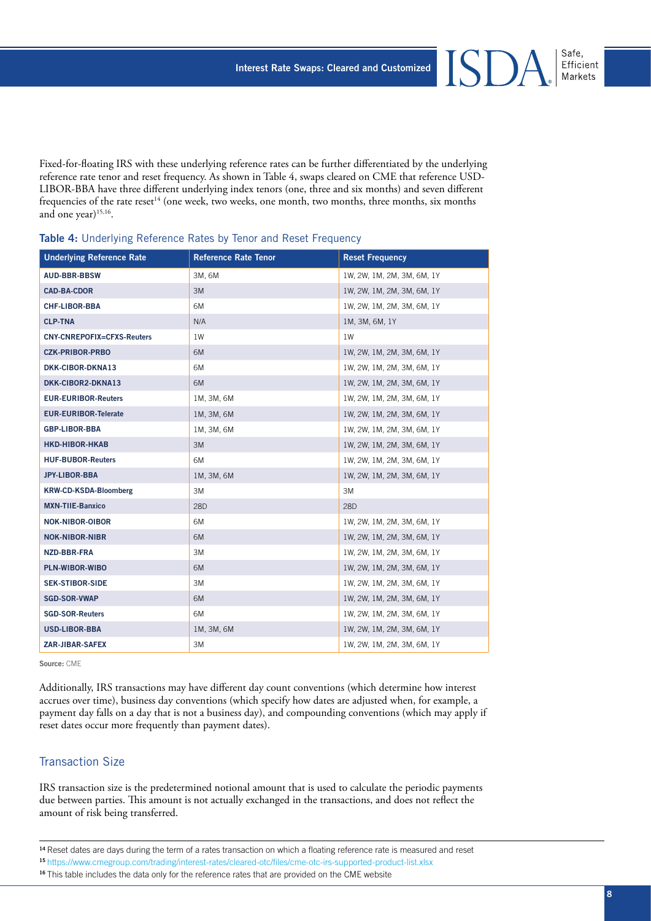Fixed-for-floating IRS with these underlying reference rates can be further differentiated by the underlying reference rate tenor and reset frequency. As shown in Table 4, swaps cleared on CME that reference USD-LIBOR-BBA have three different underlying index tenors (one, three and six months) and seven different frequencies of the rate reset<sup>14</sup> (one week, two weeks, one month, two months, three months, six months and one year) $15,16$ .

| <b>Underlying Reference Rate</b>  | <b>Reference Rate Tenor</b> | <b>Reset Frequency</b>     |
|-----------------------------------|-----------------------------|----------------------------|
| <b>AUD-BBR-BBSW</b>               | 3M, 6M                      | 1W, 2W, 1M, 2M, 3M, 6M, 1Y |
| <b>CAD-BA-CDOR</b>                | 3M                          | 1W, 2W, 1M, 2M, 3M, 6M, 1Y |
| <b>CHF-LIBOR-BBA</b>              | 6M                          | 1W, 2W, 1M, 2M, 3M, 6M, 1Y |
| <b>CLP-TNA</b>                    | N/A                         | 1M, 3M, 6M, 1Y             |
| <b>CNY-CNREPOFIX=CFXS-Reuters</b> | 1W                          | 1W                         |
| <b>CZK-PRIBOR-PRBO</b>            | 6M                          | 1W, 2W, 1M, 2M, 3M, 6M, 1Y |
| DKK-CIBOR-DKNA13                  | 6M                          | 1W, 2W, 1M, 2M, 3M, 6M, 1Y |
| DKK-CIBOR2-DKNA13                 | 6M                          | 1W, 2W, 1M, 2M, 3M, 6M, 1Y |
| <b>EUR-EURIBOR-Reuters</b>        | 1M, 3M, 6M                  | 1W, 2W, 1M, 2M, 3M, 6M, 1Y |
| <b>EUR-EURIBOR-Telerate</b>       | 1M, 3M, 6M                  | 1W, 2W, 1M, 2M, 3M, 6M, 1Y |
| <b>GBP-LIBOR-BBA</b>              | 1M, 3M, 6M                  | 1W, 2W, 1M, 2M, 3M, 6M, 1Y |
| <b>HKD-HIBOR-HKAB</b>             | 3M                          | 1W, 2W, 1M, 2M, 3M, 6M, 1Y |
| <b>HUF-BUBOR-Reuters</b>          | 6M                          | 1W, 2W, 1M, 2M, 3M, 6M, 1Y |
| JPY-LIBOR-BBA                     | 1M, 3M, 6M                  | 1W, 2W, 1M, 2M, 3M, 6M, 1Y |
| <b>KRW-CD-KSDA-Bloomberg</b>      | 3M                          | 3M                         |
| <b>MXN-TIIE-Banxico</b>           | 28D                         | 28D                        |
| <b>NOK-NIBOR-OIBOR</b>            | 6M                          | 1W, 2W, 1M, 2M, 3M, 6M, 1Y |
| <b>NOK-NIBOR-NIBR</b>             | 6M                          | 1W, 2W, 1M, 2M, 3M, 6M, 1Y |
| NZD-BBR-FRA                       | 3M                          | 1W, 2W, 1M, 2M, 3M, 6M, 1Y |
| PLN-WIBOR-WIBO                    | 6M                          | 1W, 2W, 1M, 2M, 3M, 6M, 1Y |
| <b>SEK-STIBOR-SIDE</b>            | 3M                          | 1W, 2W, 1M, 2M, 3M, 6M, 1Y |
| <b>SGD-SOR-VWAP</b>               | 6M                          | 1W, 2W, 1M, 2M, 3M, 6M, 1Y |
| <b>SGD-SOR-Reuters</b>            | 6M                          | 1W, 2W, 1M, 2M, 3M, 6M, 1Y |
| <b>USD-LIBOR-BBA</b>              | 1M, 3M, 6M                  | 1W, 2W, 1M, 2M, 3M, 6M, 1Y |
| <b>ZAR-JIBAR-SAFEX</b>            | ЗM                          | 1W, 2W, 1M, 2M, 3M, 6M, 1Y |

#### Table 4: Underlying Reference Rates by Tenor and Reset Frequency

**Source:** CME

Additionally, IRS transactions may have different day count conventions (which determine how interest accrues over time), business day conventions (which specify how dates are adjusted when, for example, a payment day falls on a day that is not a business day), and compounding conventions (which may apply if reset dates occur more frequently than payment dates).

#### Transaction Size

IRS transaction size is the predetermined notional amount that is used to calculate the periodic payments due between parties. This amount is not actually exchanged in the transactions, and does not reflect the amount of risk being transferred.

#### <sup>15</sup>[https://www.cmegroup.com/trading/interest-rates/cleared-otc/files/cme-otc-irs-supported-product-list.xlsx](https://www.cmegroup.com/trading/interest-rates/cleared-otc/files/cme-otc-irs-supported-product-list.xlsx)

<sup>&</sup>lt;sup>14</sup> Reset dates are days during the term of a rates transaction on which a floating reference rate is measured and reset

<sup>&</sup>lt;sup>16</sup> This table includes the data only for the reference rates that are provided on the CME website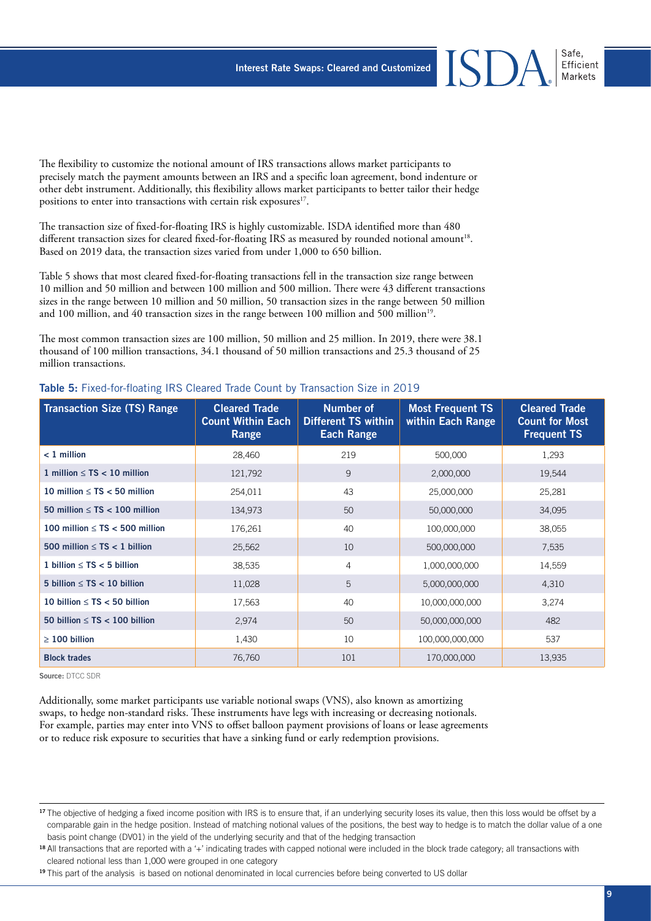The flexibility to customize the notional amount of IRS transactions allows market participants to precisely match the payment amounts between an IRS and a specific loan agreement, bond indenture or other debt instrument. Additionally, this flexibility allows market participants to better tailor their hedge positions to enter into transactions with certain risk exposures<sup>17</sup>.

The transaction size of fixed-for-floating IRS is highly customizable. ISDA identified more than 480 different transaction sizes for cleared fixed-for-floating IRS as measured by rounded notional amount<sup>18</sup>. Based on 2019 data, the transaction sizes varied from under 1,000 to 650 billion.

Table 5 shows that most cleared fixed-for-floating transactions fell in the transaction size range between 10 million and 50 million and between 100 million and 500 million. There were 43 different transactions sizes in the range between 10 million and 50 million, 50 transaction sizes in the range between 50 million and 100 million, and 40 transaction sizes in the range between 100 million and 500 million<sup>19</sup>.

The most common transaction sizes are 100 million, 50 million and 25 million. In 2019, there were 38.1 thousand of 100 million transactions, 34.1 thousand of 50 million transactions and 25.3 thousand of 25 million transactions.

| <b>Transaction Size (TS) Range</b>    | <b>Cleared Trade</b><br><b>Count Within Each</b><br>Range | Number of<br><b>Different TS within</b><br><b>Each Range</b> | <b>Most Frequent TS</b><br>within Each Range | <b>Cleared Trade</b><br><b>Count for Most</b><br><b>Frequent TS</b> |
|---------------------------------------|-----------------------------------------------------------|--------------------------------------------------------------|----------------------------------------------|---------------------------------------------------------------------|
| $< 1$ million                         | 28,460                                                    | 219                                                          | 500,000                                      | 1,293                                                               |
| 1 million $\leq$ TS $<$ 10 million    | 121,792                                                   | 9                                                            | 2,000,000                                    | 19,544                                                              |
| 10 million $\leq$ TS $<$ 50 million   | 254,011                                                   | 43                                                           | 25,000,000                                   | 25,281                                                              |
| 50 million $\leq$ TS $<$ 100 million  | 134,973                                                   | 50                                                           | 50,000,000                                   | 34,095                                                              |
| 100 million $\leq$ TS $<$ 500 million | 176,261                                                   | 40                                                           | 100,000,000                                  | 38,055                                                              |
| 500 million $\leq$ TS $<$ 1 billion   | 25,562                                                    | 10                                                           | 500,000,000                                  | 7,535                                                               |
| 1 billion $\leq$ TS $<$ 5 billion     | 38,535                                                    | $\overline{4}$                                               | 1,000,000,000                                | 14,559                                                              |
| 5 billion $\leq$ TS $<$ 10 billion    | 11,028                                                    | 5                                                            | 5,000,000,000                                | 4,310                                                               |
| 10 billion $\leq$ TS $<$ 50 billion   | 17,563                                                    | 40                                                           | 10,000,000,000                               | 3,274                                                               |
| 50 billion $\leq$ TS $<$ 100 billion  | 2,974                                                     | 50                                                           | 50,000,000,000                               | 482                                                                 |
| $\geq 100$ billion                    | 1,430                                                     | 10                                                           | 100,000,000,000                              | 537                                                                 |
| <b>Block trades</b>                   | 76,760                                                    | 101                                                          | 170,000,000                                  | 13,935                                                              |

#### Table 5: Fixed-for-floating IRS Cleared Trade Count by Transaction Size in 2019

**Source:** DTCC SDR

Additionally, some market participants use variable notional swaps (VNS), also known as amortizing swaps, to hedge non-standard risks. These instruments have legs with increasing or decreasing notionals. For example, parties may enter into VNS to offset balloon payment provisions of loans or lease agreements or to reduce risk exposure to securities that have a sinking fund or early redemption provisions.

Efficient Markets

<sup>&</sup>lt;sup>17</sup> The objective of hedging a fixed income position with IRS is to ensure that, if an underlying security loses its value, then this loss would be offset by a comparable gain in the hedge position. Instead of matching notional values of the positions, the best way to hedge is to match the dollar value of a one basis point change (DV01) in the yield of the underlying security and that of the hedging transaction

<sup>18</sup>All transactions that are reported with a '+' indicating trades with capped notional were included in the block trade category; all transactions with cleared notional less than 1,000 were grouped in one category

<sup>&</sup>lt;sup>19</sup>This part of the analysis is based on notional denominated in local currencies before being converted to US dollar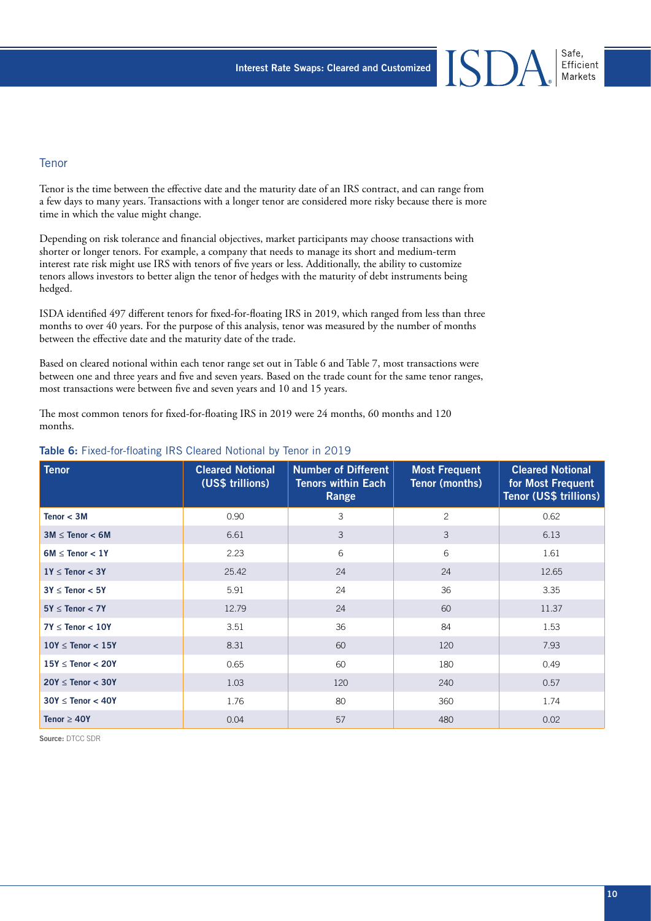#### Tenor

Tenor is the time between the effective date and the maturity date of an IRS contract, and can range from a few days to many years. Transactions with a longer tenor are considered more risky because there is more time in which the value might change.

Depending on risk tolerance and financial objectives, market participants may choose transactions with shorter or longer tenors. For example, a company that needs to manage its short and medium-term interest rate risk might use IRS with tenors of five years or less. Additionally, the ability to customize tenors allows investors to better align the tenor of hedges with the maturity of debt instruments being hedged.

ISDA identified 497 different tenors for fixed-for-floating IRS in 2019, which ranged from less than three months to over 40 years. For the purpose of this analysis, tenor was measured by the number of months between the effective date and the maturity date of the trade.

Based on cleared notional within each tenor range set out in Table 6 and Table 7, most transactions were between one and three years and five and seven years. Based on the trade count for the same tenor ranges, most transactions were between five and seven years and 10 and 15 years.

The most common tenors for fixed-for-floating IRS in 2019 were 24 months, 60 months and 120 months.

| <b>Tenor</b>             | <b>Cleared Notional</b><br>(US\$ trillions) | <b>Number of Different</b><br><b>Tenors within Each</b><br>Range | <b>Most Frequent</b><br><b>Tenor (months)</b> | <b>Cleared Notional</b><br>for Most Frequent<br>Tenor (US\$ trillions) |
|--------------------------|---------------------------------------------|------------------------------------------------------------------|-----------------------------------------------|------------------------------------------------------------------------|
| Tenor $<$ 3M             | 0.90                                        | 3                                                                | $\overline{c}$                                | 0.62                                                                   |
| $3M \leq$ Tenor $<$ 6M   | 6.61                                        | 3                                                                | 3                                             | 6.13                                                                   |
| $6M \leq$ Tenor $< 1Y$   | 2.23                                        | 6                                                                | 6                                             | 1.61                                                                   |
| $1Y \leq$ Tenor $<$ 3Y   | 25.42                                       | 24                                                               | 24                                            | 12.65                                                                  |
| $3Y \leq$ Tenor $< 5Y$   | 5.91                                        | 24                                                               | 36                                            | 3.35                                                                   |
| $5Y \leq$ Tenor $<$ 7Y   | 12.79                                       | 24                                                               | 60                                            | 11.37                                                                  |
| $7Y \leq$ Tenor $< 10Y$  | 3.51                                        | 36                                                               | 84                                            | 1.53                                                                   |
| $10Y \leq$ Tenor $< 15Y$ | 8.31                                        | 60                                                               | 120                                           | 7.93                                                                   |
| $15Y \leq$ Tenor < 20Y   | 0.65                                        | 60                                                               | 180                                           | 0.49                                                                   |
| $20Y \leq$ Tenor $<$ 30Y | 1.03                                        | 120                                                              | 240                                           | 0.57                                                                   |
| $30Y \leq$ Tenor $<$ 40Y | 1.76                                        | 80                                                               | 360                                           | 1.74                                                                   |
| Tenor $\geq 40Y$         | 0.04                                        | 57                                                               | 480                                           | 0.02                                                                   |

#### Table 6: Fixed-for-floating IRS Cleared Notional by Tenor in 2019

**Source:** DTCC SDR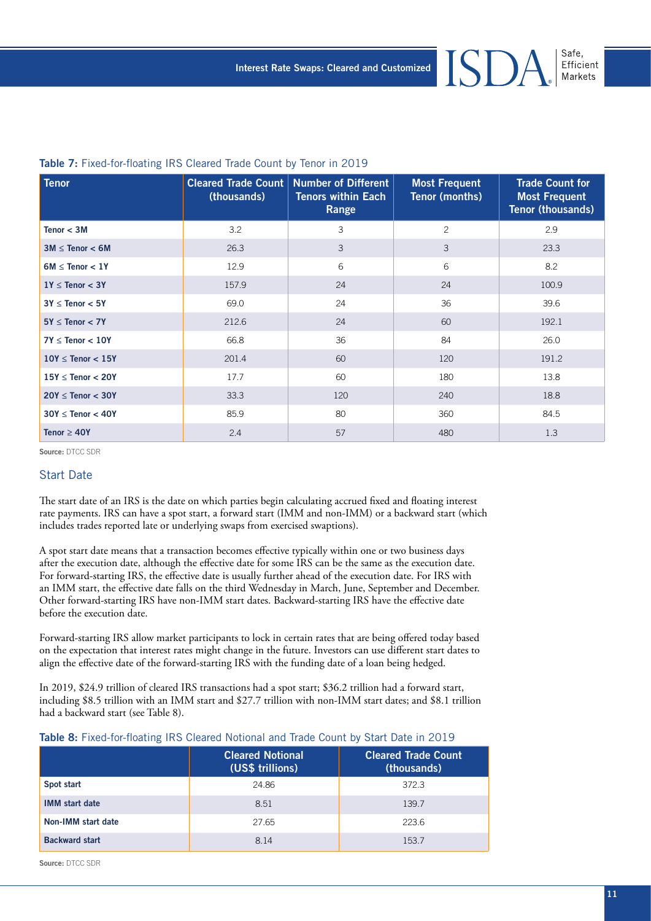#### Table 7: Fixed-for-floating IRS Cleared Trade Count by Tenor in 2019

| <b>Tenor</b>             | (thousands) | Cleared Trade Count Number of Different<br><b>Tenors within Each</b><br>Range | <b>Most Frequent</b><br><b>Tenor (months)</b> | <b>Trade Count for</b><br><b>Most Frequent</b><br>Tenor (thousands) |
|--------------------------|-------------|-------------------------------------------------------------------------------|-----------------------------------------------|---------------------------------------------------------------------|
| Tenor $<$ 3M             | 3.2         | 3                                                                             | $\mathbf{2}$                                  | 2.9                                                                 |
| $3M \leq$ Tenor < 6M     | 26.3        | 3                                                                             | 3                                             | 23.3                                                                |
| $6M \leq$ Tenor $< 1Y$   | 12.9        | 6                                                                             | 6                                             | 8.2                                                                 |
| $1Y \leq$ Tenor $<$ 3Y   | 157.9       | 24                                                                            | 24                                            | 100.9                                                               |
| $3Y \leq$ Tenor $< 5Y$   | 69.0        | 24                                                                            | 36                                            | 39.6                                                                |
| $5Y \leq$ Tenor $<$ 7Y   | 212.6       | 24                                                                            | 60                                            | 192.1                                                               |
| $7Y \leq$ Tenor $< 10Y$  | 66.8        | 36                                                                            | 84                                            | 26.0                                                                |
| $10Y \leq$ Tenor $< 15Y$ | 201.4       | 60                                                                            | 120                                           | 191.2                                                               |
| $15Y \leq$ Tenor $<$ 20Y | 17.7        | 60                                                                            | 180                                           | 13.8                                                                |
| $20Y \leq$ Tenor $<$ 30Y | 33.3        | 120                                                                           | 240                                           | 18.8                                                                |
| $30Y \leq$ Tenor < 40Y   | 85.9        | 80                                                                            | 360                                           | 84.5                                                                |
| Tenor $\geq 40Y$         | 2.4         | 57                                                                            | 480                                           | 1.3                                                                 |

**Source:** DTCC SDR

#### Start Date

The start date of an IRS is the date on which parties begin calculating accrued fixed and floating interest rate payments. IRS can have a spot start, a forward start (IMM and non-IMM) or a backward start (which includes trades reported late or underlying swaps from exercised swaptions).

A spot start date means that a transaction becomes effective typically within one or two business days after the execution date, although the effective date for some IRS can be the same as the execution date. For forward-starting IRS, the effective date is usually further ahead of the execution date. For IRS with an IMM start, the effective date falls on the third Wednesday in March, June, September and December. Other forward-starting IRS have non-IMM start dates. Backward-starting IRS have the effective date before the execution date.

Forward-starting IRS allow market participants to lock in certain rates that are being offered today based on the expectation that interest rates might change in the future. Investors can use different start dates to align the effective date of the forward-starting IRS with the funding date of a loan being hedged.

In 2019, \$24.9 trillion of cleared IRS transactions had a spot start; \$36.2 trillion had a forward start, including \$8.5 trillion with an IMM start and \$27.7 trillion with non-IMM start dates; and \$8.1 trillion had a backward start (see Table 8).

|                       | <b>Cleared Notional</b><br>(US\$ trillions) | <b>Cleared Trade Count</b><br>(thousands) |
|-----------------------|---------------------------------------------|-------------------------------------------|
| Spot start            | 24.86                                       | 372.3                                     |
| <b>IMM</b> start date | 8.51                                        | 139.7                                     |
| Non-IMM start date    | 27.65                                       | 223.6                                     |
| <b>Backward start</b> | 8.14                                        | 153.7                                     |

**Source:** DTCC SDR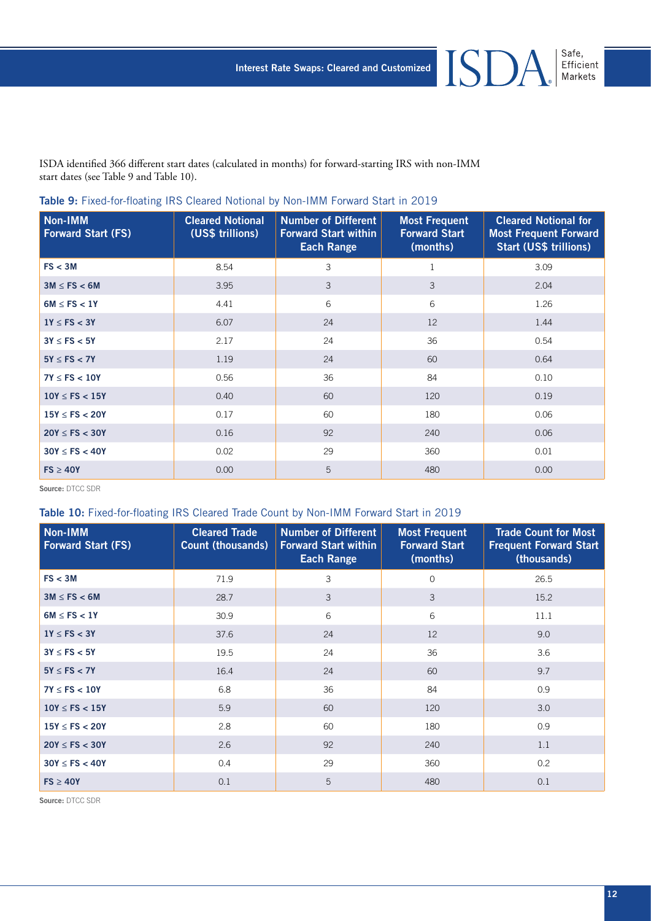**ISDA** 

Safe,<br>Efficient<br>Markets

ISDA identified 366 different start dates (calculated in months) for forward-starting IRS with non-IMM start dates (see Table 9 and Table 10).

| Non-IMM<br><b>Forward Start (FS)</b> | <b>Cleared Notional</b><br>(US\$ trillions) | <b>Number of Different</b><br><b>Forward Start within</b><br><b>Each Range</b> | <b>Most Frequent</b><br><b>Forward Start</b><br>(months) | <b>Cleared Notional for</b><br><b>Most Frequent Forward</b><br>Start (US\$ trillions) |
|--------------------------------------|---------------------------------------------|--------------------------------------------------------------------------------|----------------------------------------------------------|---------------------------------------------------------------------------------------|
| FS < 3M                              | 8.54                                        | 3                                                                              | 1                                                        | 3.09                                                                                  |
| $3M \le FS < 6M$                     | 3.95                                        | 3                                                                              | 3                                                        | 2.04                                                                                  |
| $6M \leq FS < 1Y$                    | 4.41                                        | 6                                                                              | 6                                                        | 1.26                                                                                  |
| $1Y \le FS < 3Y$                     | 6.07                                        | 24                                                                             | 12                                                       | 1.44                                                                                  |
| $3Y \le FS < 5Y$                     | 2.17                                        | 24                                                                             | 36                                                       | 0.54                                                                                  |
| $5Y \le FS < 7Y$                     | 1.19                                        | 24                                                                             | 60                                                       | 0.64                                                                                  |
| $7Y \leq FS < 10Y$                   | 0.56                                        | 36                                                                             | 84                                                       | 0.10                                                                                  |
| $10Y \leq FS < 15Y$                  | 0.40                                        | 60                                                                             | 120                                                      | 0.19                                                                                  |
| $15Y \leq FS < 20Y$                  | 0.17                                        | 60                                                                             | 180                                                      | 0.06                                                                                  |
| $20Y \le FS < 30Y$                   | 0.16                                        | 92                                                                             | 240                                                      | 0.06                                                                                  |
| $30Y \leq FS < 40Y$                  | 0.02                                        | 29                                                                             | 360                                                      | 0.01                                                                                  |
| $FS \geq 40Y$                        | 0.00                                        | 5                                                                              | 480                                                      | 0.00                                                                                  |

#### Table 9: Fixed-for-floating IRS Cleared Notional by Non-IMM Forward Start in 2019

**Source:** DTCC SDR

#### Table 10: Fixed-for-floating IRS Cleared Trade Count by Non-IMM Forward Start in 2019

| Non-IMM<br><b>Forward Start (FS)</b> | <b>Cleared Trade</b><br><b>Count (thousands)</b> | <b>Number of Different</b><br><b>Forward Start within</b><br><b>Each Range</b> | <b>Most Frequent</b><br><b>Forward Start</b><br>(months) | <b>Trade Count for Most</b><br><b>Frequent Forward Start</b><br>(thousands) |
|--------------------------------------|--------------------------------------------------|--------------------------------------------------------------------------------|----------------------------------------------------------|-----------------------------------------------------------------------------|
| FS < 3M                              | 71.9                                             | 3                                                                              | $\Omega$                                                 | 26.5                                                                        |
| $3M \le FS < 6M$                     | 28.7                                             | 3                                                                              | 3                                                        | 15.2                                                                        |
| $6M \leq FS < 1Y$                    | 30.9                                             | 6                                                                              | 6                                                        | 11.1                                                                        |
| $1Y \leq FS < 3Y$                    | 37.6                                             | 24                                                                             | 12                                                       | 9.0                                                                         |
| $3Y \le FS < 5Y$                     | 19.5                                             | 24                                                                             | 36                                                       | 3.6                                                                         |
| $5Y \leq FS < 7Y$                    | 16.4                                             | 24                                                                             | 60                                                       | 9.7                                                                         |
| $7Y \leq FS < 10Y$                   | 6.8                                              | 36                                                                             | 84                                                       | 0.9                                                                         |
| $10Y \leq FS < 15Y$                  | 5.9                                              | 60                                                                             | 120                                                      | 3.0                                                                         |
| $15Y \leq FS < 20Y$                  | 2.8                                              | 60                                                                             | 180                                                      | 0.9                                                                         |
| $20Y \le FS < 30Y$                   | 2.6                                              | 92                                                                             | 240                                                      | 1.1                                                                         |
| $30Y \leq FS < 40Y$                  | 0.4                                              | 29                                                                             | 360                                                      | 0.2                                                                         |
| $FS \geq 40Y$                        | 0.1                                              | 5                                                                              | 480                                                      | 0.1                                                                         |

**Source:** DTCC SDR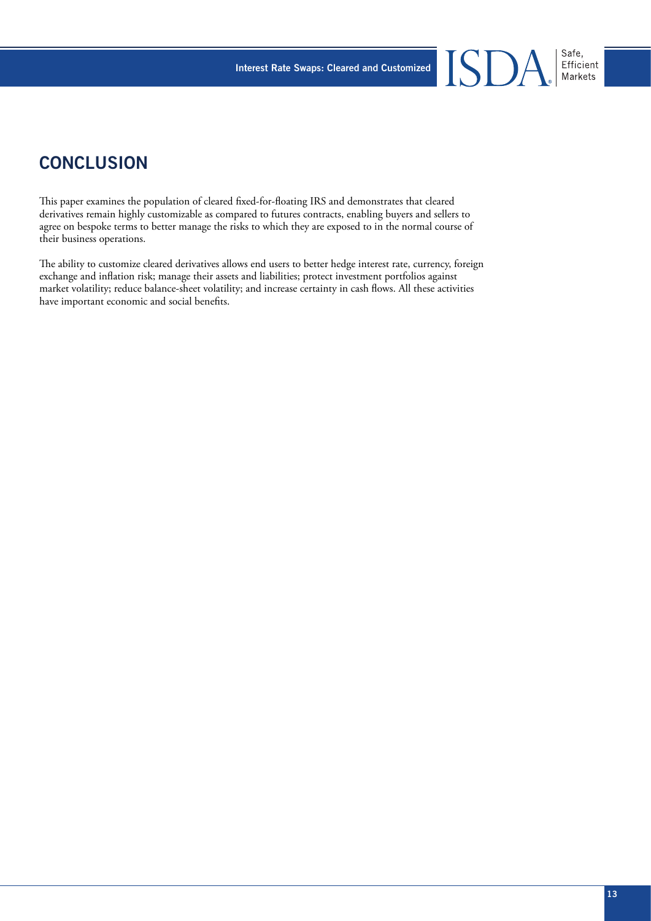# **CONCLUSION**

This paper examines the population of cleared fixed-for-floating IRS and demonstrates that cleared derivatives remain highly customizable as compared to futures contracts, enabling buyers and sellers to agree on bespoke terms to better manage the risks to which they are exposed to in the normal course of their business operations.

The ability to customize cleared derivatives allows end users to better hedge interest rate, currency, foreign exchange and inflation risk; manage their assets and liabilities; protect investment portfolios against market volatility; reduce balance-sheet volatility; and increase certainty in cash flows. All these activities have important economic and social benefits.

Safe,<br>Efficient<br>Markets

ISD.